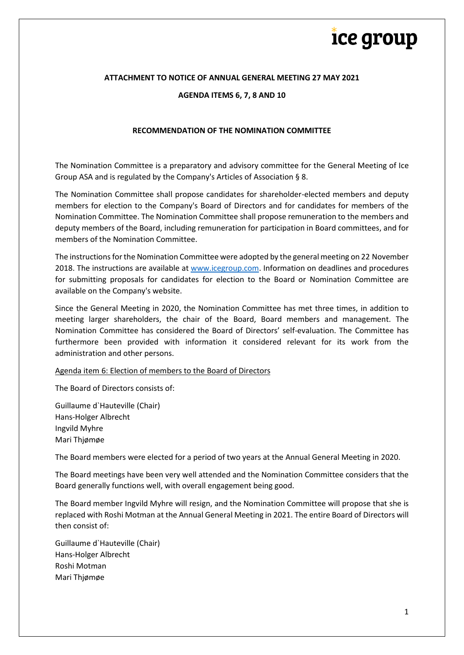#### **ATTACHMENT TO NOTICE OF ANNUAL GENERAL MEETING 27 MAY 2021**

#### **AGENDA ITEMS 6, 7, 8 AND 10**

#### **RECOMMENDATION OF THE NOMINATION COMMITTEE**

The Nomination Committee is a preparatory and advisory committee for the General Meeting of Ice Group ASA and is regulated by the Company's Articles of Association § 8.

The Nomination Committee shall propose candidates for shareholder-elected members and deputy members for election to the Company's Board of Directors and for candidates for members of the Nomination Committee. The Nomination Committee shall propose remuneration to the members and deputy members of the Board, including remuneration for participation in Board committees, and for members of the Nomination Committee.

The instructions for the Nomination Committee were adopted by the general meeting on 22 November 2018. The instructions are available at [www.icegroup.com.](http://www.icegroup.com/) Information on deadlines and procedures for submitting proposals for candidates for election to the Board or Nomination Committee are available on the Company's website.

Since the General Meeting in 2020, the Nomination Committee has met three times, in addition to meeting larger shareholders, the chair of the Board, Board members and management. The Nomination Committee has considered the Board of Directors' self-evaluation. The Committee has furthermore been provided with information it considered relevant for its work from the administration and other persons.

Agenda item 6: Election of members to the Board of Directors

The Board of Directors consists of:

Guillaume d`Hauteville (Chair) Hans-Holger Albrecht Ingvild Myhre Mari Thjømøe

The Board members were elected for a period of two years at the Annual General Meeting in 2020.

The Board meetings have been very well attended and the Nomination Committee considers that the Board generally functions well, with overall engagement being good.

The Board member Ingvild Myhre will resign, and the Nomination Committee will propose that she is replaced with Roshi Motman at the Annual General Meeting in 2021. The entire Board of Directors will then consist of:

Guillaume d`Hauteville (Chair) Hans-Holger Albrecht Roshi Motman Mari Thjømøe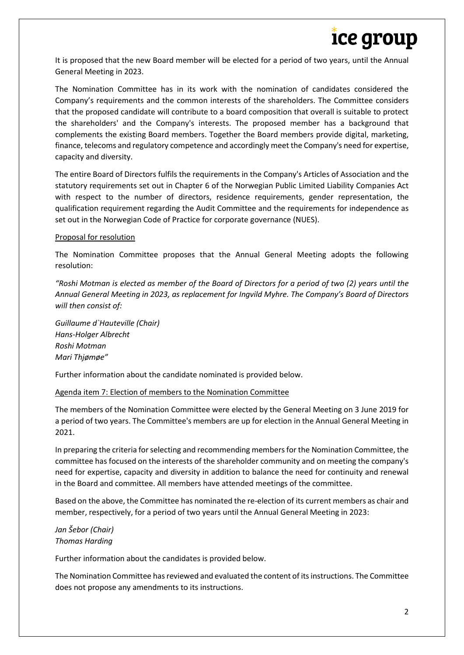It is proposed that the new Board member will be elected for a period of two years, until the Annual General Meeting in 2023.

The Nomination Committee has in its work with the nomination of candidates considered the Company's requirements and the common interests of the shareholders. The Committee considers that the proposed candidate will contribute to a board composition that overall is suitable to protect the shareholders' and the Company's interests. The proposed member has a background that complements the existing Board members. Together the Board members provide digital, marketing, finance, telecoms and regulatory competence and accordingly meet the Company's need for expertise, capacity and diversity.

The entire Board of Directors fulfils the requirements in the Company's Articles of Association and the statutory requirements set out in Chapter 6 of the Norwegian Public Limited Liability Companies Act with respect to the number of directors, residence requirements, gender representation, the qualification requirement regarding the Audit Committee and the requirements for independence as set out in the Norwegian Code of Practice for corporate governance (NUES).

### Proposal for resolution

The Nomination Committee proposes that the Annual General Meeting adopts the following resolution:

*"Roshi Motman is elected as member of the Board of Directors for a period of two (2) years until the Annual General Meeting in 2023, as replacement for Ingvild Myhre. The Company's Board of Directors will then consist of:* 

*Guillaume d`Hauteville (Chair) Hans-Holger Albrecht Roshi Motman Mari Thjømøe"*

Further information about the candidate nominated is provided below.

#### Agenda item 7: Election of members to the Nomination Committee

The members of the Nomination Committee were elected by the General Meeting on 3 June 2019 for a period of two years. The Committee's members are up for election in the Annual General Meeting in 2021.

In preparing the criteria for selecting and recommending members for the Nomination Committee, the committee has focused on the interests of the shareholder community and on meeting the company's need for expertise, capacity and diversity in addition to balance the need for continuity and renewal in the Board and committee. All members have attended meetings of the committee.

Based on the above, the Committee has nominated the re-election of its current members as chair and member, respectively, for a period of two years until the Annual General Meeting in 2023:

## *Jan Šebor (Chair) Thomas Harding*

Further information about the candidates is provided below.

The Nomination Committee hasreviewed and evaluated the content of itsinstructions. The Committee does not propose any amendments to its instructions.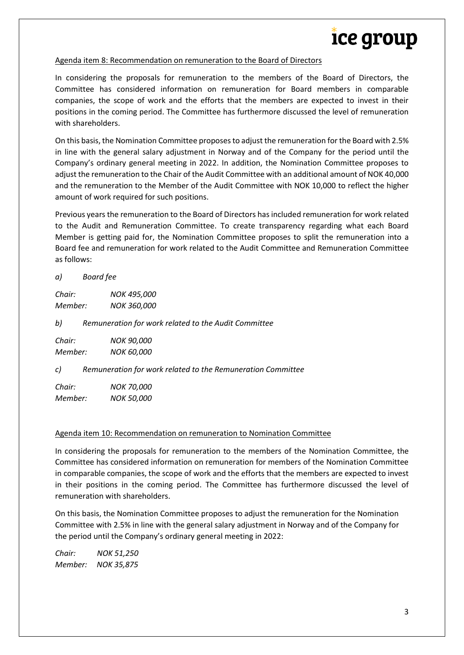### Agenda item 8: Recommendation on remuneration to the Board of Directors

In considering the proposals for remuneration to the members of the Board of Directors, the Committee has considered information on remuneration for Board members in comparable companies, the scope of work and the efforts that the members are expected to invest in their positions in the coming period. The Committee has furthermore discussed the level of remuneration with shareholders.

On this basis, the Nomination Committee proposes to adjust the remuneration for the Board with 2.5% in line with the general salary adjustment in Norway and of the Company for the period until the Company's ordinary general meeting in 2022. In addition, the Nomination Committee proposes to adjust the remuneration to the Chair of the Audit Committee with an additional amount of NOK 40,000 and the remuneration to the Member of the Audit Committee with NOK 10,000 to reflect the higher amount of work required for such positions.

Previous years the remuneration to the Board of Directors has included remuneration for work related to the Audit and Remuneration Committee. To create transparency regarding what each Board Member is getting paid for, the Nomination Committee proposes to split the remuneration into a Board fee and remuneration for work related to the Audit Committee and Remuneration Committee as follows:

*a) Board fee*

*Chair: NOK 495,000 Member: NOK 360,000*

*b) Remuneration for work related to the Audit Committee*

*Chair: NOK 90,000 Member: NOK 60,000*

*c) Remuneration for work related to the Remuneration Committee*

*Chair: NOK 70,000 Member: NOK 50,000*

#### Agenda item 10: Recommendation on remuneration to Nomination Committee

In considering the proposals for remuneration to the members of the Nomination Committee, the Committee has considered information on remuneration for members of the Nomination Committee in comparable companies, the scope of work and the efforts that the members are expected to invest in their positions in the coming period. The Committee has furthermore discussed the level of remuneration with shareholders.

On this basis, the Nomination Committee proposes to adjust the remuneration for the Nomination Committee with 2.5% in line with the general salary adjustment in Norway and of the Company for the period until the Company's ordinary general meeting in 2022:

*Chair: NOK 51,250 Member: NOK 35,875*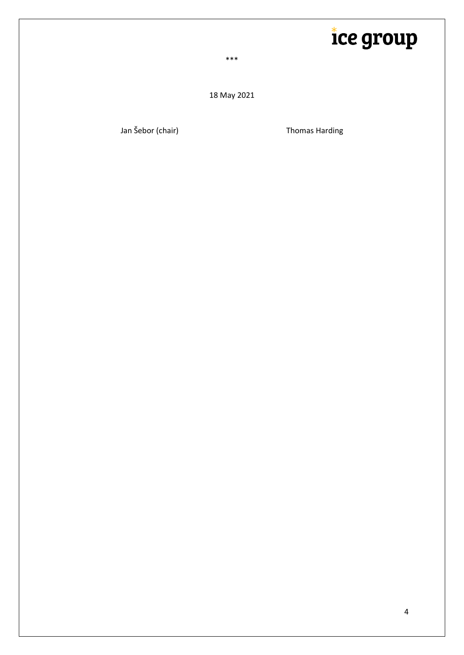\*\*\*

18 May 2021

Jan Šebor (chair) **Thomas Harding**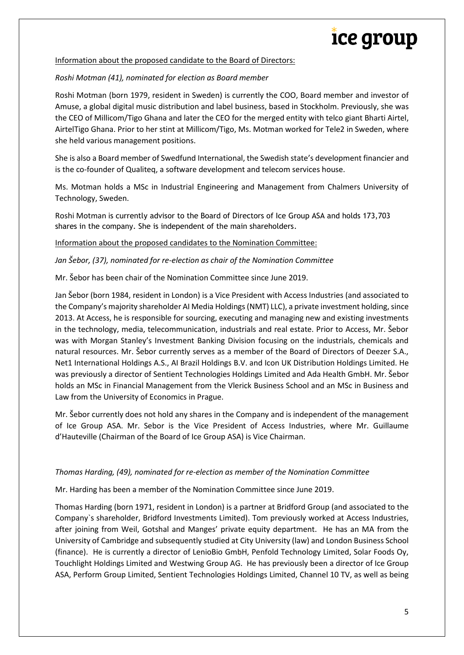### Information about the proposed candidate to the Board of Directors:

### *Roshi Motman (41), nominated for election as Board member*

Roshi Motman (born 1979, resident in Sweden) is currently the COO, Board member and investor of Amuse, a global digital music distribution and label business, based in Stockholm. Previously, she was the CEO of Millicom/Tigo Ghana and later the CEO for the merged entity with telco giant Bharti Airtel, AirtelTigo Ghana. Prior to her stint at Millicom/Tigo, Ms. Motman worked for Tele2 in Sweden, where she held various management positions.

She is also a Board member of Swedfund International, the Swedish state's development financier and is the co-founder of Qualiteq, a software development and telecom services house.

Ms. Motman holds a MSc in Industrial Engineering and Management from Chalmers University of Technology, Sweden.

Roshi Motman is currently advisor to the Board of Directors of Ice Group ASA and holds 173,703 shares in the company. She is independent of the main shareholders.

#### Information about the proposed candidates to the Nomination Committee:

### *Jan Šebor, (37), nominated for re-election as chair of the Nomination Committee*

Mr. Šebor has been chair of the Nomination Committee since June 2019.

Jan Šebor (born 1984, resident in London) is a Vice President with Access Industries (and associated to the Company's majority shareholder AI Media Holdings (NMT) LLC), a private investment holding, since 2013. At Access, he is responsible for sourcing, executing and managing new and existing investments in the technology, media, telecommunication, industrials and real estate. Prior to Access, Mr. Šebor was with Morgan Stanley's Investment Banking Division focusing on the industrials, chemicals and natural resources. Mr. Šebor currently serves as a member of the Board of Directors of Deezer S.A., Net1 International Holdings A.S., AI Brazil Holdings B.V. and Icon UK Distribution Holdings Limited. He was previously a director of Sentient Technologies Holdings Limited and Ada Health GmbH. Mr. Šebor holds an MSc in Financial Management from the Vlerick Business School and an MSc in Business and Law from the University of Economics in Prague.

Mr. Šebor currently does not hold any shares in the Company and is independent of the management of Ice Group ASA. Mr. Sebor is the Vice President of Access Industries, where Mr. Guillaume d'Hauteville (Chairman of the Board of Ice Group ASA) is Vice Chairman.

#### *Thomas Harding, (49), nominated for re-election as member of the Nomination Committee*

Mr. Harding has been a member of the Nomination Committee since June 2019.

Thomas Harding (born 1971, resident in London) is a partner at Bridford Group (and associated to the Company`s shareholder, Bridford Investments Limited). Tom previously worked at Access Industries, after joining from Weil, Gotshal and Manges' private equity department. He has an MA from the University of Cambridge and subsequently studied at City University (law) and London Business School (finance). He is currently a director of LenioBio GmbH, Penfold Technology Limited, Solar Foods Oy, Touchlight Holdings Limited and Westwing Group AG. He has previously been a director of Ice Group ASA, Perform Group Limited, Sentient Technologies Holdings Limited, Channel 10 TV, as well as being